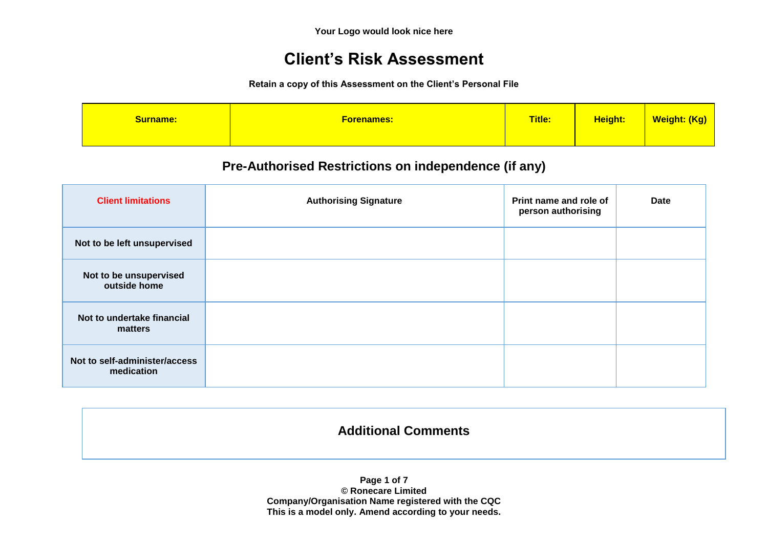# **Client's Risk Assessment**

**Retain a copy of this Assessment on the Client's Personal File**

| <b>Surname:</b> | <u>Forenames:</u> | Title: | Height: | Weight: (Kg) |
|-----------------|-------------------|--------|---------|--------------|
|-----------------|-------------------|--------|---------|--------------|

## **Pre-Authorised Restrictions on independence (if any)**

| <b>Client limitations</b>                   | <b>Authorising Signature</b> | Print name and role of<br>person authorising | Date |
|---------------------------------------------|------------------------------|----------------------------------------------|------|
| Not to be left unsupervised                 |                              |                                              |      |
| Not to be unsupervised<br>outside home      |                              |                                              |      |
| Not to undertake financial<br>matters       |                              |                                              |      |
| Not to self-administer/access<br>medication |                              |                                              |      |

## **Additional Comments**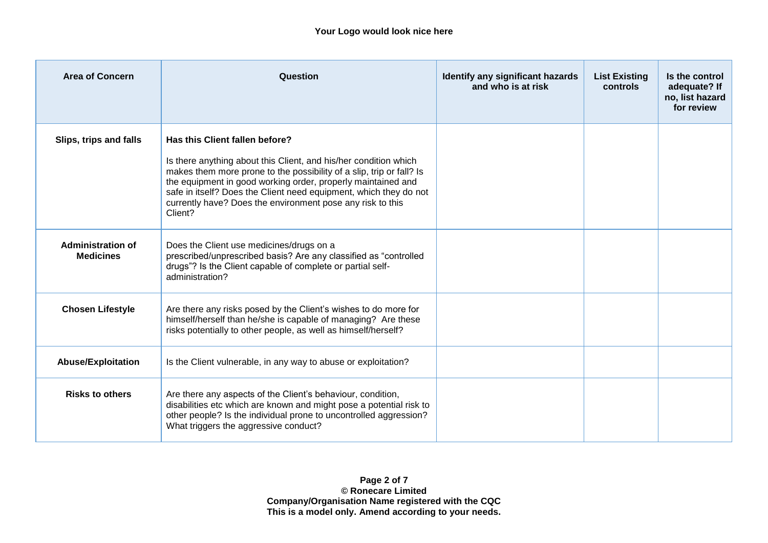| <b>Area of Concern</b>                       | Question                                                                                                                                                                                                                                                                                                                                                                                 | Identify any significant hazards<br>and who is at risk | <b>List Existing</b><br><b>controls</b> | Is the control<br>adequate? If<br>no, list hazard<br>for review |
|----------------------------------------------|------------------------------------------------------------------------------------------------------------------------------------------------------------------------------------------------------------------------------------------------------------------------------------------------------------------------------------------------------------------------------------------|--------------------------------------------------------|-----------------------------------------|-----------------------------------------------------------------|
| Slips, trips and falls                       | Has this Client fallen before?<br>Is there anything about this Client, and his/her condition which<br>makes them more prone to the possibility of a slip, trip or fall? Is<br>the equipment in good working order, properly maintained and<br>safe in itself? Does the Client need equipment, which they do not<br>currently have? Does the environment pose any risk to this<br>Client? |                                                        |                                         |                                                                 |
| <b>Administration of</b><br><b>Medicines</b> | Does the Client use medicines/drugs on a<br>prescribed/unprescribed basis? Are any classified as "controlled<br>drugs"? Is the Client capable of complete or partial self-<br>administration?                                                                                                                                                                                            |                                                        |                                         |                                                                 |
| <b>Chosen Lifestyle</b>                      | Are there any risks posed by the Client's wishes to do more for<br>himself/herself than he/she is capable of managing? Are these<br>risks potentially to other people, as well as himself/herself?                                                                                                                                                                                       |                                                        |                                         |                                                                 |
| <b>Abuse/Exploitation</b>                    | Is the Client vulnerable, in any way to abuse or exploitation?                                                                                                                                                                                                                                                                                                                           |                                                        |                                         |                                                                 |
| <b>Risks to others</b>                       | Are there any aspects of the Client's behaviour, condition,<br>disabilities etc which are known and might pose a potential risk to<br>other people? Is the individual prone to uncontrolled aggression?<br>What triggers the aggressive conduct?                                                                                                                                         |                                                        |                                         |                                                                 |

**Page 2 of 7 © Ronecare Limited Company/Organisation Name registered with the CQC This is a model only. Amend according to your needs.**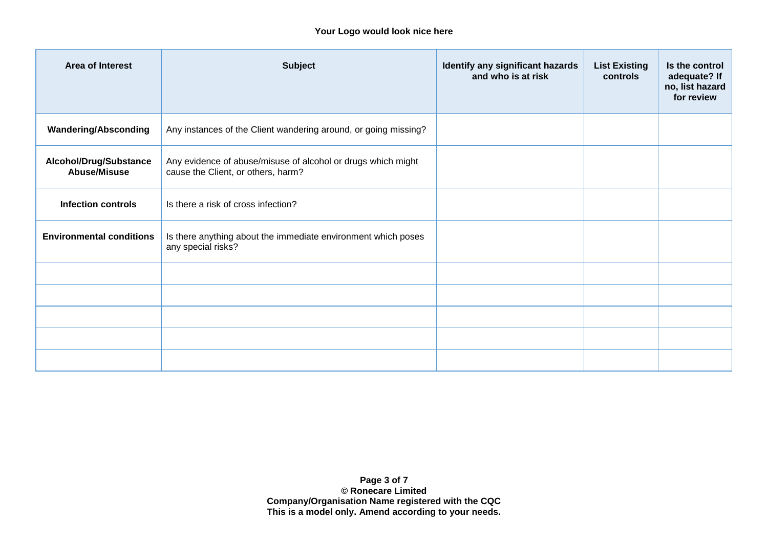#### **Your Logo would look nice here**

| <b>Area of Interest</b>                       | <b>Subject</b>                                                                                     | Identify any significant hazards<br>and who is at risk | <b>List Existing</b><br>controls | Is the control<br>adequate? If<br>no, list hazard<br>for review |
|-----------------------------------------------|----------------------------------------------------------------------------------------------------|--------------------------------------------------------|----------------------------------|-----------------------------------------------------------------|
| <b>Wandering/Absconding</b>                   | Any instances of the Client wandering around, or going missing?                                    |                                                        |                                  |                                                                 |
| Alcohol/Drug/Substance<br><b>Abuse/Misuse</b> | Any evidence of abuse/misuse of alcohol or drugs which might<br>cause the Client, or others, harm? |                                                        |                                  |                                                                 |
| <b>Infection controls</b>                     | Is there a risk of cross infection?                                                                |                                                        |                                  |                                                                 |
| <b>Environmental conditions</b>               | Is there anything about the immediate environment which poses<br>any special risks?                |                                                        |                                  |                                                                 |
|                                               |                                                                                                    |                                                        |                                  |                                                                 |
|                                               |                                                                                                    |                                                        |                                  |                                                                 |
|                                               |                                                                                                    |                                                        |                                  |                                                                 |
|                                               |                                                                                                    |                                                        |                                  |                                                                 |
|                                               |                                                                                                    |                                                        |                                  |                                                                 |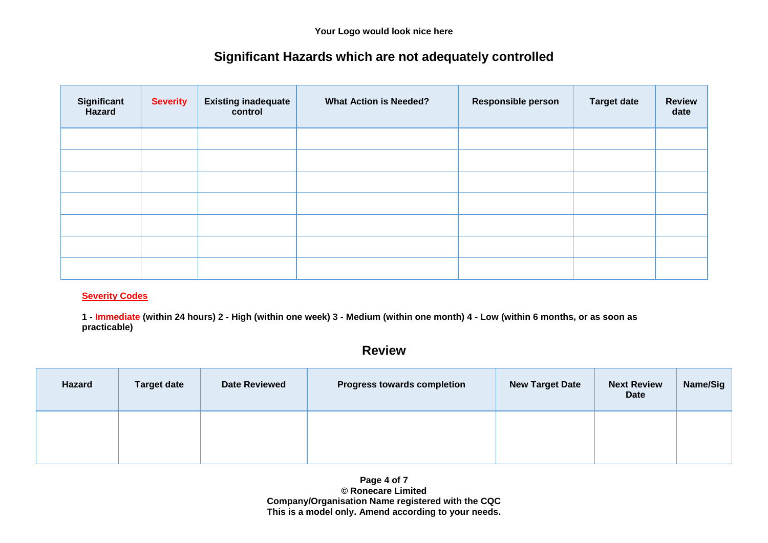# **Significant Hazards which are not adequately controlled**

| Significant<br><b>Hazard</b> | <b>Severity</b> | <b>Existing inadequate</b><br>control | <b>What Action is Needed?</b> | <b>Responsible person</b> | <b>Target date</b> | <b>Review</b><br>date |
|------------------------------|-----------------|---------------------------------------|-------------------------------|---------------------------|--------------------|-----------------------|
|                              |                 |                                       |                               |                           |                    |                       |
|                              |                 |                                       |                               |                           |                    |                       |
|                              |                 |                                       |                               |                           |                    |                       |
|                              |                 |                                       |                               |                           |                    |                       |
|                              |                 |                                       |                               |                           |                    |                       |
|                              |                 |                                       |                               |                           |                    |                       |
|                              |                 |                                       |                               |                           |                    |                       |

#### **Severity Codes**

**1 - Immediate (within 24 hours) 2 - High (within one week) 3 - Medium (within one month) 4 - Low (within 6 months, or as soon as practicable)**

## **Review**

| <b>Hazard</b> | <b>Target date</b> | <b>Date Reviewed</b> | <b>Progress towards completion</b> | <b>New Target Date</b> | <b>Next Review</b><br><b>Date</b> | Name/Sig |
|---------------|--------------------|----------------------|------------------------------------|------------------------|-----------------------------------|----------|
|               |                    |                      |                                    |                        |                                   |          |

**Page 4 of 7 © Ronecare Limited Company/Organisation Name registered with the CQC This is a model only. Amend according to your needs.**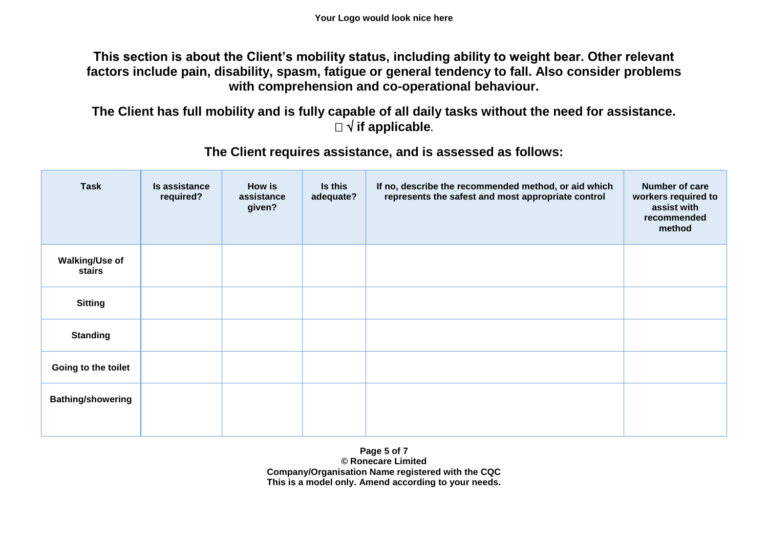**This section is about the Client's mobility status, including ability to weight bear. Other relevant factors include pain, disability, spasm, fatigue or general tendency to fall. Also consider problems with comprehension and co-operational behaviour.**

**The Client has full mobility and is fully capable of all daily tasks without the need for assistance. if applicable.**

| <b>Task</b>              | Is assistance<br>required? | <b>How is</b><br>assistance<br>given? | Is this<br>adequate? | If no, describe the recommended method, or aid which<br>represents the safest and most appropriate control | Number of care<br>workers required to<br>assist with<br>recommended<br>method |
|--------------------------|----------------------------|---------------------------------------|----------------------|------------------------------------------------------------------------------------------------------------|-------------------------------------------------------------------------------|
| Walking/Use of<br>stairs |                            |                                       |                      |                                                                                                            |                                                                               |
| <b>Sitting</b>           |                            |                                       |                      |                                                                                                            |                                                                               |
| <b>Standing</b>          |                            |                                       |                      |                                                                                                            |                                                                               |
| Going to the toilet      |                            |                                       |                      |                                                                                                            |                                                                               |
| <b>Bathing/showering</b> |                            |                                       |                      |                                                                                                            |                                                                               |

## **The Client requires assistance, and is assessed as follows:**

**Page 5 of 7 © Ronecare Limited Company/Organisation Name registered with the CQC This is a model only. Amend according to your needs.**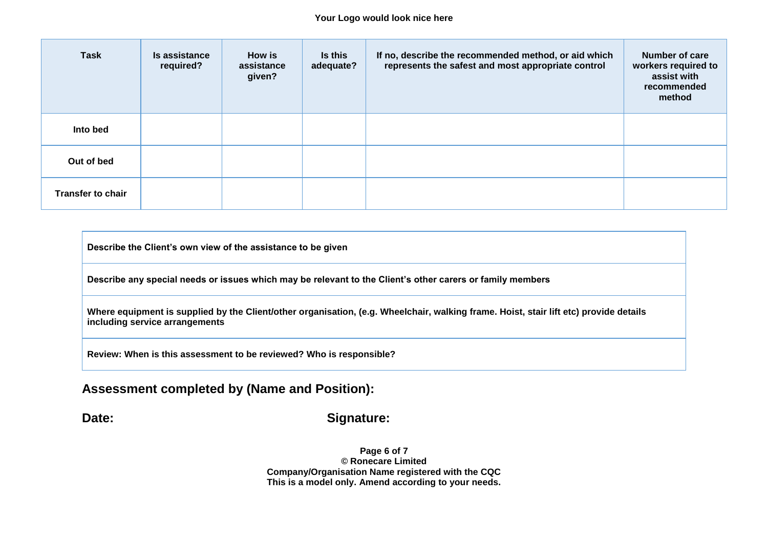#### **Your Logo would look nice here**

| <b>Task</b>              | Is assistance<br>required? | <b>How is</b><br>assistance<br>given? | <b>Is this</b><br>adequate? | If no, describe the recommended method, or aid which<br>represents the safest and most appropriate control | <b>Number of care</b><br>workers required to<br>assist with<br>recommended<br>method |
|--------------------------|----------------------------|---------------------------------------|-----------------------------|------------------------------------------------------------------------------------------------------------|--------------------------------------------------------------------------------------|
| Into bed                 |                            |                                       |                             |                                                                                                            |                                                                                      |
| Out of bed               |                            |                                       |                             |                                                                                                            |                                                                                      |
| <b>Transfer to chair</b> |                            |                                       |                             |                                                                                                            |                                                                                      |

**Describe the Client's own view of the assistance to be given**

**Describe any special needs or issues which may be relevant to the Client's other carers or family members**

**Where equipment is supplied by the Client/other organisation, (e.g. Wheelchair, walking frame. Hoist, stair lift etc) provide details including service arrangements**

**Review: When is this assessment to be reviewed? Who is responsible?**

### **Assessment completed by (Name and Position):**

#### Date: Signature:

**Page 6 of 7 © Ronecare Limited Company/Organisation Name registered with the CQC This is a model only. Amend according to your needs.**